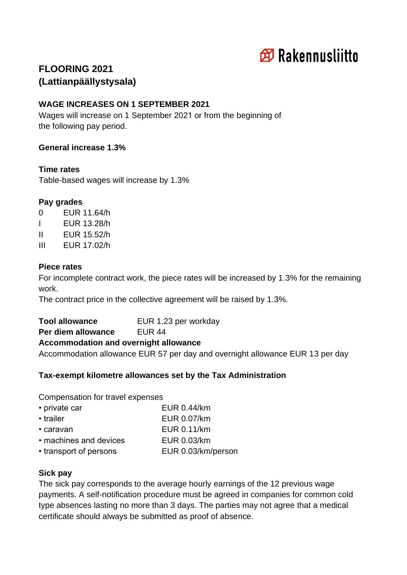

# **FLOORING 2021 (Lattianpäällystysala)**

# **WAGE INCREASES ON 1 SEPTEMBER 2021**

Wages will increase on 1 September 2021 or from the beginning of the following pay period.

# **General increase 1.3%**

#### **Time rates**

Table-based wages will increase by 1.3%

# **Pay grades**

- 0 EUR 11.64/h
- I EUR 13.28/h
- II EUR 15.52/h
- III EUR 17.02/h

# **Piece rates**

For incomplete contract work, the piece rates will be increased by 1.3% for the remaining work.

The contract price in the collective agreement will be raised by 1.3%.

**Tool allowance** EUR 1.23 per workday **Per diem allowance EUR 44** 

# **Accommodation and overnight allowance**

Accommodation allowance EUR 57 per day and overnight allowance EUR 13 per day

# **Tax-exempt kilometre allowances set by the Tax Administration**

Compensation for travel expenses

| • private car          | EUR 0.44/km        |
|------------------------|--------------------|
| • trailer              | EUR 0.07/km        |
| • caravan              | EUR 0.11/km        |
| • machines and devices | EUR 0.03/km        |
| • transport of persons | EUR 0.03/km/person |
|                        |                    |

# **Sick pay**

The sick pay corresponds to the average hourly earnings of the 12 previous wage payments. A self-notification procedure must be agreed in companies for common cold type absences lasting no more than 3 days. The parties may not agree that a medical certificate should always be submitted as proof of absence.